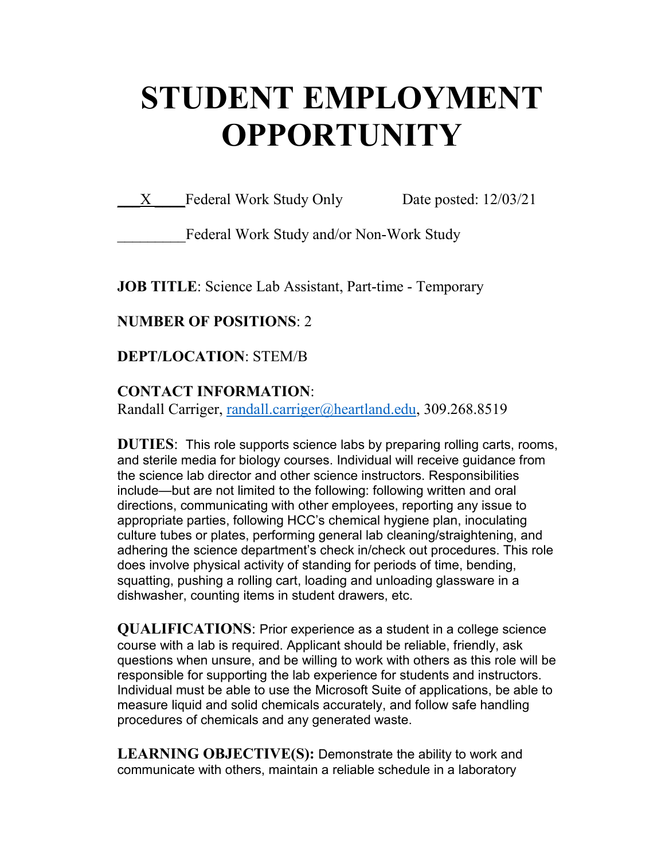# **STUDENT EMPLOYMENT OPPORTUNITY**

X Federal Work Study Only Date posted: 12/03/21

Federal Work Study and/or Non-Work Study

**JOB TITLE**: Science Lab Assistant, Part-time - Temporary

## **NUMBER OF POSITIONS**: 2

**DEPT/LOCATION**: STEM/B

## **CONTACT INFORMATION**:

Randall Carriger, [randall.carriger@heartland.edu,](mailto:randall.carriger@heartland.edu) 309.268.8519

**DUTIES**: This role supports science labs by preparing rolling carts, rooms, and sterile media for biology courses. Individual will receive guidance from the science lab director and other science instructors. Responsibilities include—but are not limited to the following: following written and oral directions, communicating with other employees, reporting any issue to appropriate parties, following HCC's chemical hygiene plan, inoculating culture tubes or plates, performing general lab cleaning/straightening, and adhering the science department's check in/check out procedures. This role does involve physical activity of standing for periods of time, bending, squatting, pushing a rolling cart, loading and unloading glassware in a dishwasher, counting items in student drawers, etc.

**QUALIFICATIONS**: Prior experience as a student in a college science course with a lab is required. Applicant should be reliable, friendly, ask questions when unsure, and be willing to work with others as this role will be responsible for supporting the lab experience for students and instructors. Individual must be able to use the Microsoft Suite of applications, be able to measure liquid and solid chemicals accurately, and follow safe handling procedures of chemicals and any generated waste.

**LEARNING OBJECTIVE(S):** Demonstrate the ability to work and communicate with others, maintain a reliable schedule in a laboratory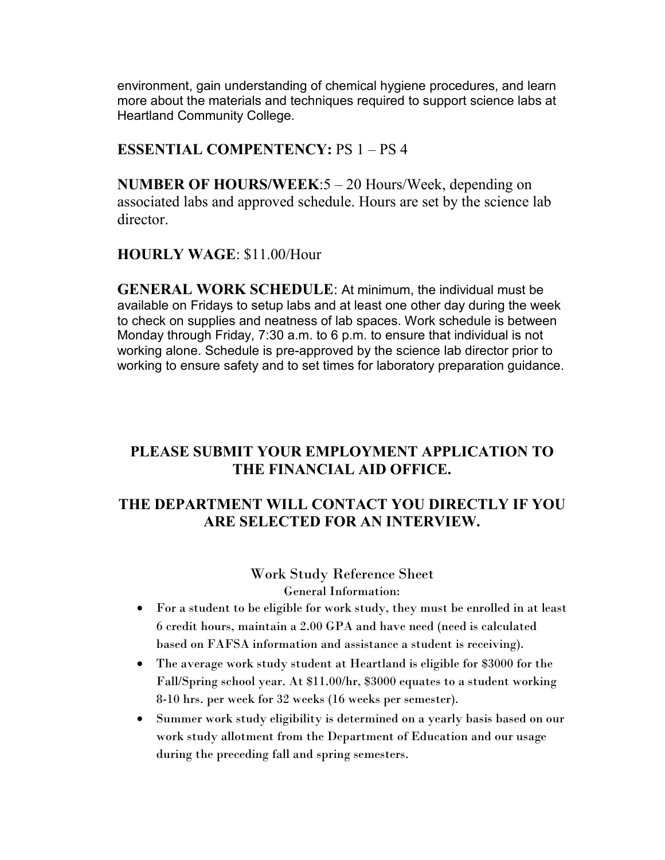environment, gain understanding of chemical hygiene procedures, and learn more about the materials and techniques required to support science labs at Heartland Community College.

### **ESSENTIAL COMPENTENCY:** PS 1 – PS 4

**NUMBER OF HOURS/WEEK**:5 – 20 Hours/Week, depending on associated labs and approved schedule. Hours are set by the science lab director.

#### **HOURLY WAGE**: \$11.00/Hour

**GENERAL WORK SCHEDULE**: At minimum, the individual must be available on Fridays to setup labs and at least one other day during the week to check on supplies and neatness of lab spaces. Work schedule is between Monday through Friday, 7:30 a.m. to 6 p.m. to ensure that individual is not working alone. Schedule is pre-approved by the science lab director prior to working to ensure safety and to set times for laboratory preparation guidance.

## **PLEASE SUBMIT YOUR EMPLOYMENT APPLICATION TO THE FINANCIAL AID OFFICE.**

## **THE DEPARTMENT WILL CONTACT YOU DIRECTLY IF YOU ARE SELECTED FOR AN INTERVIEW.**

Work Study Reference Sheet General Information:

- For a student to be eligible for work study, they must be enrolled in at least 6 credit hours, maintain a 2.00 GPA and have need (need is calculated based on FAFSA information and assistance a student is receiving).
- The average work study student at Heartland is eligible for \$3000 for the Fall/Spring school year. At \$11.00/hr, \$3000 equates to a student working 8-10 hrs. per week for 32 weeks (16 weeks per semester).
- Summer work study eligibility is determined on a yearly basis based on our work study allotment from the Department of Education and our usage during the preceding fall and spring semesters.